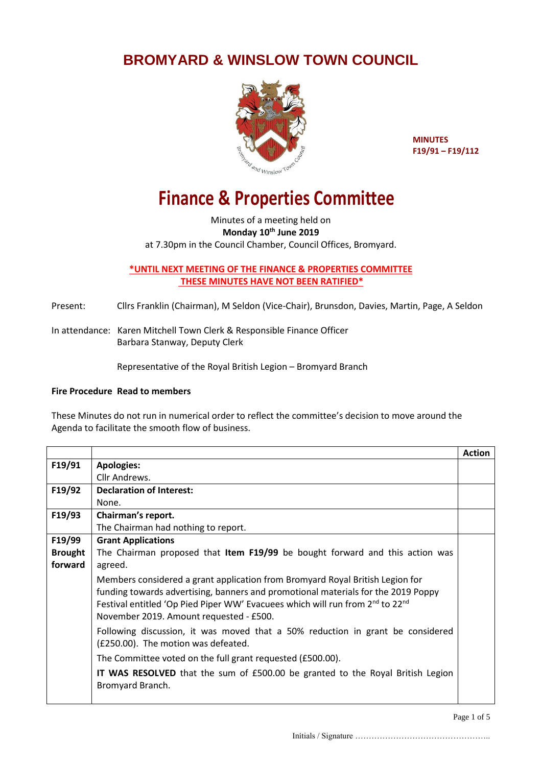## **BROMYARD & WINSLOW TOWN COUNCIL**



**MINUTES F19/91 – F19/112**

## **Finance & Properties Committee**

Minutes of a meeting held on **Monday 10th June 2019** at 7.30pm in the Council Chamber, Council Offices, Bromyard.

**\*UNTIL NEXT MEETING OF THE FINANCE & PROPERTIES COMMITTEE THESE MINUTES HAVE NOT BEEN RATIFIED\***

Present: Cllrs Franklin (Chairman), M Seldon (Vice-Chair), Brunsdon, Davies, Martin, Page, A Seldon

In attendance: Karen Mitchell Town Clerk & Responsible Finance Officer Barbara Stanway, Deputy Clerk

Representative of the Royal British Legion – Bromyard Branch

## **Fire Procedure Read to members**

These Minutes do not run in numerical order to reflect the committee's decision to move around the Agenda to facilitate the smooth flow of business.

|                |                                                                                                                                                                                                                                                                                                                        | <b>Action</b> |
|----------------|------------------------------------------------------------------------------------------------------------------------------------------------------------------------------------------------------------------------------------------------------------------------------------------------------------------------|---------------|
| F19/91         | <b>Apologies:</b>                                                                                                                                                                                                                                                                                                      |               |
|                | Cllr Andrews.                                                                                                                                                                                                                                                                                                          |               |
| F19/92         | <b>Declaration of Interest:</b>                                                                                                                                                                                                                                                                                        |               |
|                | None.                                                                                                                                                                                                                                                                                                                  |               |
| F19/93         | Chairman's report.                                                                                                                                                                                                                                                                                                     |               |
|                | The Chairman had nothing to report.                                                                                                                                                                                                                                                                                    |               |
| F19/99         | <b>Grant Applications</b>                                                                                                                                                                                                                                                                                              |               |
| <b>Brought</b> | The Chairman proposed that Item F19/99 be bought forward and this action was                                                                                                                                                                                                                                           |               |
| forward        | agreed.                                                                                                                                                                                                                                                                                                                |               |
|                | Members considered a grant application from Bromyard Royal British Legion for<br>funding towards advertising, banners and promotional materials for the 2019 Poppy<br>Festival entitled 'Op Pied Piper WW' Evacuees which will run from 2 <sup>nd</sup> to 22 <sup>nd</sup><br>November 2019. Amount requested - £500. |               |
|                | Following discussion, it was moved that a 50% reduction in grant be considered<br>(£250.00). The motion was defeated.                                                                                                                                                                                                  |               |
|                | The Committee voted on the full grant requested (£500.00).                                                                                                                                                                                                                                                             |               |
|                | <b>IT WAS RESOLVED</b> that the sum of £500.00 be granted to the Royal British Legion<br>Bromyard Branch.                                                                                                                                                                                                              |               |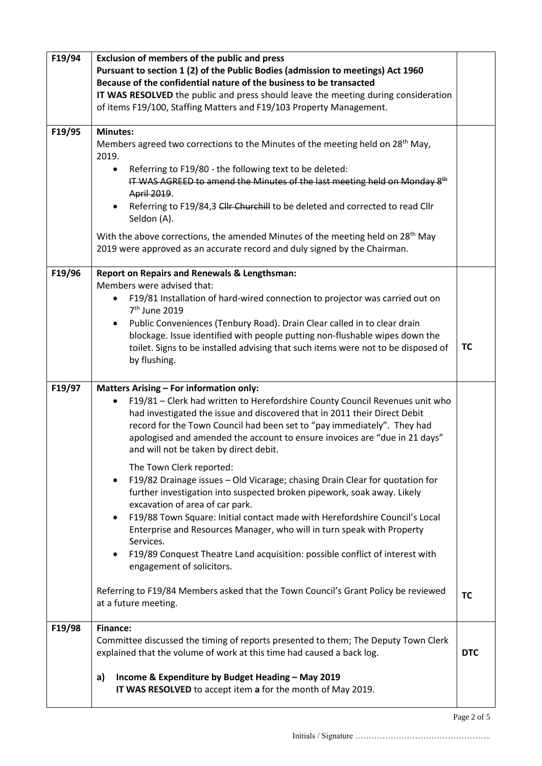| F19/94 | <b>Exclusion of members of the public and press</b><br>Pursuant to section 1 (2) of the Public Bodies (admission to meetings) Act 1960                                                                                                                                                                                                                                                                                                                                                                                                           |            |  |
|--------|--------------------------------------------------------------------------------------------------------------------------------------------------------------------------------------------------------------------------------------------------------------------------------------------------------------------------------------------------------------------------------------------------------------------------------------------------------------------------------------------------------------------------------------------------|------------|--|
|        | Because of the confidential nature of the business to be transacted<br>IT WAS RESOLVED the public and press should leave the meeting during consideration                                                                                                                                                                                                                                                                                                                                                                                        |            |  |
|        | of items F19/100, Staffing Matters and F19/103 Property Management.                                                                                                                                                                                                                                                                                                                                                                                                                                                                              |            |  |
| F19/95 | <b>Minutes:</b><br>Members agreed two corrections to the Minutes of the meeting held on 28 <sup>th</sup> May,<br>2019.                                                                                                                                                                                                                                                                                                                                                                                                                           |            |  |
|        | Referring to F19/80 - the following text to be deleted:<br>$\bullet$<br>IT WAS AGREED to amend the Minutes of the last meeting held on Monday 8 <sup>th</sup><br>April 2019.<br>Referring to F19/84,3 Cllr Churchill to be deleted and corrected to read Cllr<br>$\bullet$<br>Seldon (A).                                                                                                                                                                                                                                                        |            |  |
|        | With the above corrections, the amended Minutes of the meeting held on 28 <sup>th</sup> May<br>2019 were approved as an accurate record and duly signed by the Chairman.                                                                                                                                                                                                                                                                                                                                                                         |            |  |
| F19/96 | <b>Report on Repairs and Renewals &amp; Lengthsman:</b><br>Members were advised that:<br>F19/81 Installation of hard-wired connection to projector was carried out on<br>$\bullet$<br>7 <sup>th</sup> June 2019<br>Public Conveniences (Tenbury Road). Drain Clear called in to clear drain<br>$\bullet$<br>blockage. Issue identified with people putting non-flushable wipes down the<br>toilet. Signs to be installed advising that such items were not to be disposed of<br>by flushing.                                                     | TC         |  |
| F19/97 | <b>Matters Arising - For information only:</b>                                                                                                                                                                                                                                                                                                                                                                                                                                                                                                   |            |  |
|        | F19/81 - Clerk had written to Herefordshire County Council Revenues unit who<br>$\bullet$<br>had investigated the issue and discovered that in 2011 their Direct Debit<br>record for the Town Council had been set to "pay immediately". They had<br>apologised and amended the account to ensure invoices are "due in 21 days"<br>and will not be taken by direct debit.                                                                                                                                                                        |            |  |
|        | The Town Clerk reported:<br>F19/82 Drainage issues - Old Vicarage; chasing Drain Clear for quotation for<br>$\bullet$<br>further investigation into suspected broken pipework, soak away. Likely<br>excavation of area of car park.<br>F19/88 Town Square: Initial contact made with Herefordshire Council's Local<br>$\bullet$<br>Enterprise and Resources Manager, who will in turn speak with Property<br>Services.<br>F19/89 Conquest Theatre Land acquisition: possible conflict of interest with<br>$\bullet$<br>engagement of solicitors. |            |  |
|        | Referring to F19/84 Members asked that the Town Council's Grant Policy be reviewed<br>at a future meeting.                                                                                                                                                                                                                                                                                                                                                                                                                                       | <b>TC</b>  |  |
| F19/98 | <b>Finance:</b><br>Committee discussed the timing of reports presented to them; The Deputy Town Clerk<br>explained that the volume of work at this time had caused a back log.                                                                                                                                                                                                                                                                                                                                                                   | <b>DTC</b> |  |
|        | Income & Expenditure by Budget Heading - May 2019<br>a)<br>IT WAS RESOLVED to accept item a for the month of May 2019.                                                                                                                                                                                                                                                                                                                                                                                                                           |            |  |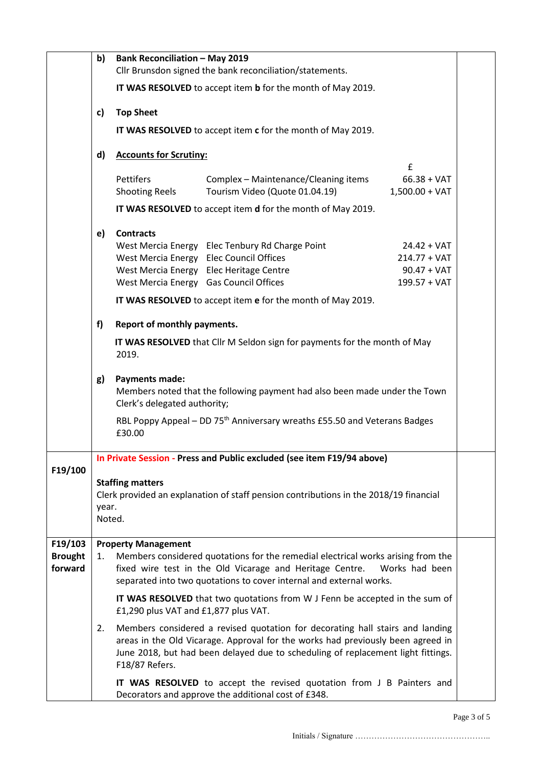|                           | b) | <b>Bank Reconciliation - May 2019</b><br>Cllr Brunsdon signed the bank reconciliation/statements.                                   |                                                                                                                                                                                                                                                      |                                 |  |  |  |
|---------------------------|----|-------------------------------------------------------------------------------------------------------------------------------------|------------------------------------------------------------------------------------------------------------------------------------------------------------------------------------------------------------------------------------------------------|---------------------------------|--|--|--|
|                           |    | IT WAS RESOLVED to accept item b for the month of May 2019.                                                                         |                                                                                                                                                                                                                                                      |                                 |  |  |  |
|                           | c) | <b>Top Sheet</b>                                                                                                                    |                                                                                                                                                                                                                                                      |                                 |  |  |  |
|                           |    | IT WAS RESOLVED to accept item c for the month of May 2019.                                                                         |                                                                                                                                                                                                                                                      |                                 |  |  |  |
|                           | d) | <b>Accounts for Scrutiny:</b>                                                                                                       |                                                                                                                                                                                                                                                      |                                 |  |  |  |
|                           |    | Pettifers                                                                                                                           | Complex - Maintenance/Cleaning items                                                                                                                                                                                                                 | £<br>$66.38 + VAT$              |  |  |  |
|                           |    | <b>Shooting Reels</b>                                                                                                               | Tourism Video (Quote 01.04.19)                                                                                                                                                                                                                       | $1,500.00 + VAT$                |  |  |  |
|                           |    |                                                                                                                                     | IT WAS RESOLVED to accept item d for the month of May 2019.                                                                                                                                                                                          |                                 |  |  |  |
|                           | e) | <b>Contracts</b>                                                                                                                    |                                                                                                                                                                                                                                                      |                                 |  |  |  |
|                           |    | West Mercia Energy Elec Council Offices                                                                                             | West Mercia Energy Elec Tenbury Rd Charge Point                                                                                                                                                                                                      | $24.42 + VAT$<br>$214.77 + VAT$ |  |  |  |
|                           |    |                                                                                                                                     | West Mercia Energy Elec Heritage Centre                                                                                                                                                                                                              | $90.47 + VAT$                   |  |  |  |
|                           |    | West Mercia Energy Gas Council Offices                                                                                              |                                                                                                                                                                                                                                                      | 199.57 + VAT                    |  |  |  |
|                           |    |                                                                                                                                     | IT WAS RESOLVED to accept item e for the month of May 2019.                                                                                                                                                                                          |                                 |  |  |  |
|                           | f) | Report of monthly payments.                                                                                                         |                                                                                                                                                                                                                                                      |                                 |  |  |  |
|                           |    | IT WAS RESOLVED that Cllr M Seldon sign for payments for the month of May<br>2019.                                                  |                                                                                                                                                                                                                                                      |                                 |  |  |  |
|                           | g) | <b>Payments made:</b><br>Members noted that the following payment had also been made under the Town<br>Clerk's delegated authority; |                                                                                                                                                                                                                                                      |                                 |  |  |  |
|                           |    | £30.00                                                                                                                              | RBL Poppy Appeal - DD 75 <sup>th</sup> Anniversary wreaths £55.50 and Veterans Badges                                                                                                                                                                |                                 |  |  |  |
|                           |    | In Private Session - Press and Public excluded (see item F19/94 above)                                                              |                                                                                                                                                                                                                                                      |                                 |  |  |  |
| F19/100                   |    | <b>Staffing matters</b>                                                                                                             |                                                                                                                                                                                                                                                      |                                 |  |  |  |
|                           |    | Clerk provided an explanation of staff pension contributions in the 2018/19 financial                                               |                                                                                                                                                                                                                                                      |                                 |  |  |  |
|                           |    | year.<br>Noted.                                                                                                                     |                                                                                                                                                                                                                                                      |                                 |  |  |  |
| F19/103                   |    | <b>Property Management</b>                                                                                                          |                                                                                                                                                                                                                                                      |                                 |  |  |  |
| <b>Brought</b><br>forward | 1. |                                                                                                                                     | Members considered quotations for the remedial electrical works arising from the<br>fixed wire test in the Old Vicarage and Heritage Centre.<br>separated into two quotations to cover internal and external works.                                  | Works had been                  |  |  |  |
|                           |    | £1,290 plus VAT and £1,877 plus VAT.                                                                                                | IT WAS RESOLVED that two quotations from W J Fenn be accepted in the sum of                                                                                                                                                                          |                                 |  |  |  |
|                           | 2. | F18/87 Refers.                                                                                                                      | Members considered a revised quotation for decorating hall stairs and landing<br>areas in the Old Vicarage. Approval for the works had previously been agreed in<br>June 2018, but had been delayed due to scheduling of replacement light fittings. |                                 |  |  |  |
|                           |    |                                                                                                                                     | IT WAS RESOLVED to accept the revised quotation from J B Painters and<br>Decorators and approve the additional cost of £348.                                                                                                                         |                                 |  |  |  |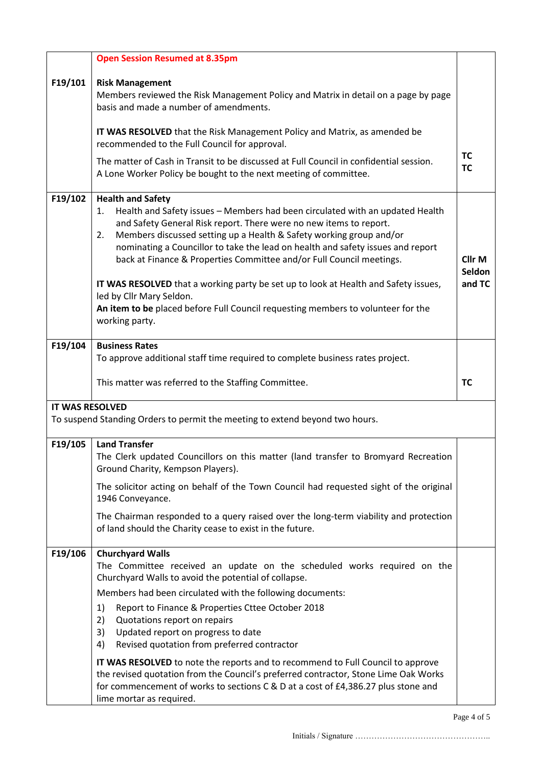|                        | <b>Open Session Resumed at 8.35pm</b>                                                                                                                                                                                                                                                                                                                                                                                                                                                                                                                                                                                                                  |                                       |
|------------------------|--------------------------------------------------------------------------------------------------------------------------------------------------------------------------------------------------------------------------------------------------------------------------------------------------------------------------------------------------------------------------------------------------------------------------------------------------------------------------------------------------------------------------------------------------------------------------------------------------------------------------------------------------------|---------------------------------------|
| F19/101                | <b>Risk Management</b><br>Members reviewed the Risk Management Policy and Matrix in detail on a page by page<br>basis and made a number of amendments.                                                                                                                                                                                                                                                                                                                                                                                                                                                                                                 |                                       |
|                        | IT WAS RESOLVED that the Risk Management Policy and Matrix, as amended be<br>recommended to the Full Council for approval.                                                                                                                                                                                                                                                                                                                                                                                                                                                                                                                             |                                       |
|                        | The matter of Cash in Transit to be discussed at Full Council in confidential session.<br>A Lone Worker Policy be bought to the next meeting of committee.                                                                                                                                                                                                                                                                                                                                                                                                                                                                                             | TC<br><b>TC</b>                       |
| F19/102                | <b>Health and Safety</b><br>Health and Safety issues - Members had been circulated with an updated Health<br>1.<br>and Safety General Risk report. There were no new items to report.<br>Members discussed setting up a Health & Safety working group and/or<br>2.<br>nominating a Councillor to take the lead on health and safety issues and report<br>back at Finance & Properties Committee and/or Full Council meetings.<br>IT WAS RESOLVED that a working party be set up to look at Health and Safety issues,<br>led by Cllr Mary Seldon.<br>An item to be placed before Full Council requesting members to volunteer for the<br>working party. | Cllr <sub>M</sub><br>Seldon<br>and TC |
| F19/104                | <b>Business Rates</b>                                                                                                                                                                                                                                                                                                                                                                                                                                                                                                                                                                                                                                  |                                       |
|                        | To approve additional staff time required to complete business rates project.                                                                                                                                                                                                                                                                                                                                                                                                                                                                                                                                                                          |                                       |
|                        | This matter was referred to the Staffing Committee.                                                                                                                                                                                                                                                                                                                                                                                                                                                                                                                                                                                                    | <b>TC</b>                             |
| <b>IT WAS RESOLVED</b> |                                                                                                                                                                                                                                                                                                                                                                                                                                                                                                                                                                                                                                                        |                                       |
|                        | To suspend Standing Orders to permit the meeting to extend beyond two hours.                                                                                                                                                                                                                                                                                                                                                                                                                                                                                                                                                                           |                                       |
| F19/105                | <b>Land Transfer</b><br>The Clerk updated Councillors on this matter (land transfer to Bromyard Recreation<br>Ground Charity, Kempson Players).                                                                                                                                                                                                                                                                                                                                                                                                                                                                                                        |                                       |
|                        | The solicitor acting on behalf of the Town Council had requested sight of the original<br>1946 Conveyance.                                                                                                                                                                                                                                                                                                                                                                                                                                                                                                                                             |                                       |
|                        | The Chairman responded to a query raised over the long-term viability and protection<br>of land should the Charity cease to exist in the future.                                                                                                                                                                                                                                                                                                                                                                                                                                                                                                       |                                       |
| F19/106                | <b>Churchyard Walls</b><br>The Committee received an update on the scheduled works required on the<br>Churchyard Walls to avoid the potential of collapse.<br>Members had been circulated with the following documents:<br>Report to Finance & Properties Cttee October 2018<br>1)<br>2)<br>Quotations report on repairs<br>Updated report on progress to date<br>3)<br>Revised quotation from preferred contractor<br>4)<br>IT WAS RESOLVED to note the reports and to recommend to Full Council to approve                                                                                                                                           |                                       |
|                        | the revised quotation from the Council's preferred contractor, Stone Lime Oak Works<br>for commencement of works to sections C & D at a cost of £4,386.27 plus stone and<br>lime mortar as required.                                                                                                                                                                                                                                                                                                                                                                                                                                                   |                                       |